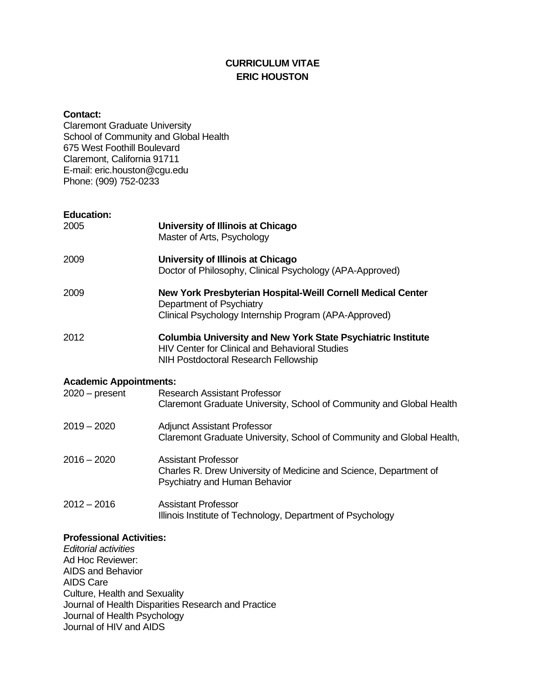# **CURRICULUM VITAE ERIC HOUSTON**

#### **Contact:**

Claremont Graduate University School of Community and Global Health 675 West Foothill Boulevard Claremont, California 91711 E-mail: eric.houston@cgu.edu Phone: (909) 752-0233

## **Education:**

| 2005                                              | University of Illinois at Chicago<br>Master of Arts, Psychology                                                                                                      |
|---------------------------------------------------|----------------------------------------------------------------------------------------------------------------------------------------------------------------------|
| 2009                                              | University of Illinois at Chicago<br>Doctor of Philosophy, Clinical Psychology (APA-Approved)                                                                        |
| 2009                                              | New York Presbyterian Hospital-Weill Cornell Medical Center<br>Department of Psychiatry<br>Clinical Psychology Internship Program (APA-Approved)                     |
| 2012                                              | <b>Columbia University and New York State Psychiatric Institute</b><br><b>HIV Center for Clinical and Behavioral Studies</b><br>NIH Postdoctoral Research Fellowship |
| <b>Academic Appointments:</b><br>$2020 - present$ | <b>Research Assistant Professor</b><br>Claremont Graduate University, School of Community and Global Health                                                          |
| $2019 - 2020$                                     | <b>Adjunct Assistant Professor</b><br>Claremont Graduate University, School of Community and Global Health,                                                          |
| 2016 - 2020                                       | <b>Assistant Professor</b><br>Charles R. Drew University of Medicine and Science, Department of<br>Psychiatry and Human Behavior                                     |

2012 – 2016 Assistant Professor Illinois Institute of Technology, Department of Psychology

# **Professional Activities:**

*Editorial activities* Ad Hoc Reviewer: AIDS and Behavior AIDS Care Culture, Health and Sexuality Journal of Health Disparities Research and Practice Journal of Health Psychology Journal of HIV and AIDS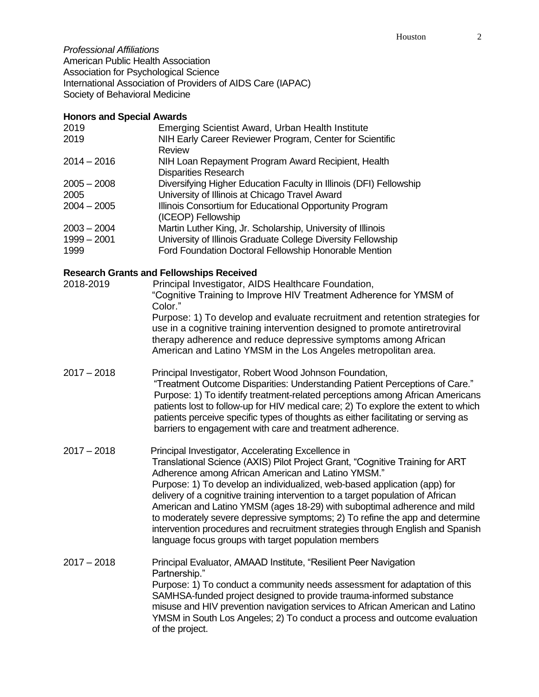*Professional Affiliations* American Public Health Association Association for Psychological Science International Association of Providers of AIDS Care (IAPAC) Society of Behavioral Medicine

## **Honors and Special Awards**

| 2019          | Emerging Scientist Award, Urban Health Institute                   |
|---------------|--------------------------------------------------------------------|
| 2019          | NIH Early Career Reviewer Program, Center for Scientific           |
|               | <b>Review</b>                                                      |
| $2014 - 2016$ | NIH Loan Repayment Program Award Recipient, Health                 |
|               | <b>Disparities Research</b>                                        |
| $2005 - 2008$ | Diversifying Higher Education Faculty in Illinois (DFI) Fellowship |
| 2005          | University of Illinois at Chicago Travel Award                     |
| $2004 - 2005$ | Illinois Consortium for Educational Opportunity Program            |
|               | (ICEOP) Fellowship                                                 |
| $2003 - 2004$ | Martin Luther King, Jr. Scholarship, University of Illinois        |
| $1999 - 2001$ | University of Illinois Graduate College Diversity Fellowship       |
| 1999          | Ford Foundation Doctoral Fellowship Honorable Mention              |

# **Research Grants and Fellowships Received**

| 2018-2019   | Principal Investigator, AIDS Healthcare Foundation,<br>"Cognitive Training to Improve HIV Treatment Adherence for YMSM of<br>Color."<br>Purpose: 1) To develop and evaluate recruitment and retention strategies for<br>use in a cognitive training intervention designed to promote antiretroviral<br>therapy adherence and reduce depressive symptoms among African<br>American and Latino YMSM in the Los Angeles metropolitan area. |
|-------------|-----------------------------------------------------------------------------------------------------------------------------------------------------------------------------------------------------------------------------------------------------------------------------------------------------------------------------------------------------------------------------------------------------------------------------------------|
|             |                                                                                                                                                                                                                                                                                                                                                                                                                                         |
| 2017 - 2018 | Principal Investigator, Robert Wood Johnson Foundation,<br>"Treatment Outcome Disparities: Understanding Patient Perceptions of Care"                                                                                                                                                                                                                                                                                                   |

- I reatment Outcome Disparities: Understanding Patient Perceptions of Care. Purpose: 1) To identify treatment-related perceptions among African Americans patients lost to follow-up for HIV medical care; 2) To explore the extent to which patients perceive specific types of thoughts as either facilitating or serving as barriers to engagement with care and treatment adherence.
- 2017 2018 Principal Investigator, Accelerating Excellence in Translational Science (AXIS) Pilot Project Grant, "Cognitive Training for ART Adherence among African American and Latino YMSM." Purpose: 1) To develop an individualized, web-based application (app) for delivery of a cognitive training intervention to a target population of African American and Latino YMSM (ages 18-29) with suboptimal adherence and mild to moderately severe depressive symptoms; 2) To refine the app and determine intervention procedures and recruitment strategies through English and Spanish language focus groups with target population members

2017 – 2018 Principal Evaluator, AMAAD Institute, "Resilient Peer Navigation Partnership." Purpose: 1) To conduct a community needs assessment for adaptation of this SAMHSA-funded project designed to provide trauma-informed substance misuse and HIV prevention navigation services to African American and Latino YMSM in South Los Angeles; 2) To conduct a process and outcome evaluation of the project.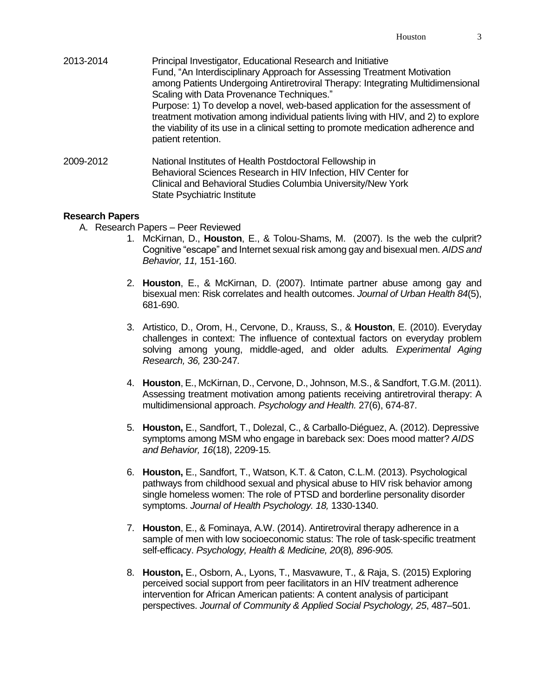- 2013-2014 Principal Investigator, Educational Research and Initiative Fund, "An Interdisciplinary Approach for Assessing Treatment Motivation among Patients Undergoing Antiretroviral Therapy: Integrating Multidimensional Scaling with Data Provenance Techniques." Purpose: 1) To develop a novel, web-based application for the assessment of treatment motivation among individual patients living with HIV, and 2) to explore the viability of its use in a clinical setting to promote medication adherence and patient retention. 2009-2012 National Institutes of Health Postdoctoral Fellowship in
- Behavioral Sciences Research in HIV Infection, HIV Center for Clinical and Behavioral Studies Columbia University/New York State Psychiatric Institute

### **Research Papers**

- A. Research Papers Peer Reviewed
	- 1. McKirnan, D., **Houston**, E., & Tolou-Shams, M. (2007). Is the web the culprit? Cognitive "escape" and Internet sexual risk among gay and bisexual men. *AIDS and Behavior, 11,* 151-160.
	- 2. **Houston**, E., & McKirnan, D. (2007). Intimate partner abuse among gay and bisexual men: Risk correlates and health outcomes. *Journal of Urban Health 84*(5), 681-690.
	- 3. Artistico, D., Orom, H., Cervone, D., Krauss, S., & **Houston**, E. (2010). Everyday challenges in context: The influence of contextual factors on everyday problem solving among young, middle-aged, and older adults*. Experimental Aging Research, 36,* 230-247*.*
	- 4. **Houston**, E., McKirnan, D., Cervone, D., Johnson, M.S., & Sandfort, T.G.M. (2011). Assessing treatment motivation among patients receiving antiretroviral therapy: A multidimensional approach. *Psychology and Health.* 27(6), 674-87.
	- 5. **Houston,** E., Sandfort, T., Dolezal, C., & Carballo-Diéguez, A. (2012). Depressive symptoms among MSM who engage in bareback sex: Does mood matter? *AIDS and Behavior, 16*(18), 2209-15*.*
	- 6. **Houston,** E., Sandfort, T., Watson, K.T. & Caton, C.L.M. (2013). Psychological pathways from childhood sexual and physical abuse to HIV risk behavior among single homeless women: The role of PTSD and borderline personality disorder symptoms. *Journal of Health Psychology. 18,* 1330-1340.
	- 7. **Houston**, E., & Fominaya, A.W. (2014). Antiretroviral therapy adherence in a sample of men with low socioeconomic status: The role of task-specific treatment self-efficacy. *Psychology, Health & Medicine, 20*(8)*, 896-905.*
	- 8. **Houston,** E., Osborn, A., Lyons, T., Masvawure, T., & Raja, S. (2015) Exploring perceived social support from peer facilitators in an HIV treatment adherence intervention for African American patients: A content analysis of participant perspectives. *Journal of Community & Applied Social Psychology, 25*, 487–501.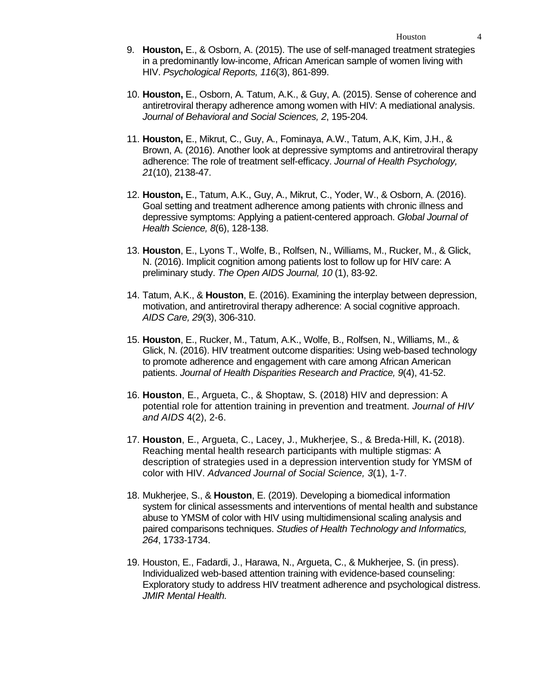- 9. **Houston,** E., & Osborn, A. (2015). The use of self-managed treatment strategies in a predominantly low-income, African American sample of women living with HIV. *Psychological Reports, 116*(3), 861-899.
- 10. **Houston,** E., Osborn, A. Tatum, A.K., & Guy, A. (2015). Sense of coherence and antiretroviral therapy adherence among women with HIV: A mediational analysis. *Journal of Behavioral and Social Sciences, 2*, 195-204*.*
- 11. **Houston,** E., Mikrut, C., Guy, A., Fominaya, A.W., Tatum, A.K, Kim, J.H., & Brown, A. (2016). Another look at depressive symptoms and antiretroviral therapy adherence: The role of treatment self-efficacy. *Journal of Health Psychology, 21*(10), 2138-47.
- 12. **Houston,** E., Tatum, A.K., Guy, A., Mikrut, C., Yoder, W., & Osborn, A. (2016). Goal setting and treatment adherence among patients with chronic illness and depressive symptoms: Applying a patient-centered approach. *Global Journal of Health Science, 8*(6), 128-138.
- 13. **Houston**, E., Lyons T., Wolfe, B., Rolfsen, N., Williams, M., Rucker, M., & Glick, N. (2016). Implicit cognition among patients lost to follow up for HIV care: A preliminary study. *The Open AIDS Journal, 10* (1), 83-92.
- 14. Tatum, A.K., & **Houston**, E. (2016). Examining the interplay between depression, motivation, and antiretroviral therapy adherence: A social cognitive approach. *AIDS Care, 29*(3), 306-310.
- 15. **Houston**, E., Rucker, M., Tatum, A.K., Wolfe, B., Rolfsen, N., Williams, M., & Glick, N. (2016). HIV treatment outcome disparities: Using web-based technology to promote adherence and engagement with care among African American patients. *Journal of Health Disparities Research and Practice, 9*(4), 41-52.
- 16. **Houston**, E., Argueta, C., & Shoptaw, S. (2018) HIV and depression: A potential role for attention training in prevention and treatment. *Journal of HIV and AIDS* 4(2), 2-6.
- 17. **Houston**, E., Argueta, C., Lacey, J., Mukherjee, S., & Breda-Hill, K**.** (2018). Reaching mental health research participants with multiple stigmas: A description of strategies used in a depression intervention study for YMSM of color with HIV. *Advanced Journal of Social Science, 3*(1), 1-7.
- 18. Mukherjee, S., & **Houston**, E. (2019). Developing a biomedical information system for clinical assessments and interventions of mental health and substance abuse to YMSM of color with HIV using multidimensional scaling analysis and paired comparisons techniques. *Studies of Health Technology and Informatics, 264*, 1733-1734.
- 19. Houston, E., Fadardi, J., Harawa, N., Argueta, C., & Mukherjee, S. (in press). Individualized web-based attention training with evidence-based counseling: Exploratory study to address HIV treatment adherence and psychological distress. *JMIR Mental Health.*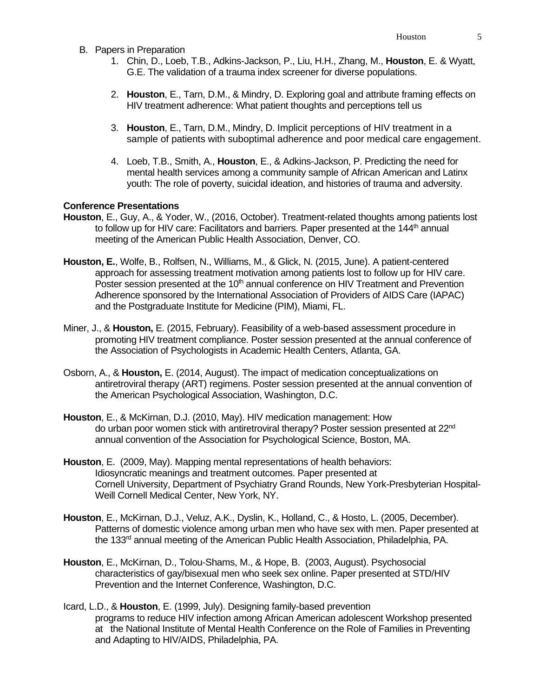- B. Papers in Preparation
	- 1. Chin, D., Loeb, T.B., Adkins-Jackson, P., Liu, H.H., Zhang, M., **Houston**, E. & Wyatt, G.E. The validation of a trauma index screener for diverse populations.
	- 2. **Houston**, E., Tarn, D.M., & Mindry, D. Exploring goal and attribute framing effects on HIV treatment adherence: What patient thoughts and perceptions tell us
	- 3. **Houston**, E., Tarn, D.M., Mindry, D. Implicit perceptions of HIV treatment in a sample of patients with suboptimal adherence and poor medical care engagement.
	- 4. Loeb, T.B., Smith, A., **Houston**, E., & Adkins-Jackson, P. Predicting the need for mental health services among a community sample of African American and Latinx youth: The role of poverty, suicidal ideation, and histories of trauma and adversity.

### **Conference Presentations**

- **Houston**, E., Guy, A., & Yoder, W., (2016, October). Treatment-related thoughts among patients lost to follow up for HIV care: Facilitators and barriers. Paper presented at the 144<sup>th</sup> annual meeting of the American Public Health Association, Denver, CO.
- **Houston, E.**, Wolfe, B., Rolfsen, N., Williams, M., & Glick, N. (2015, June). A patient-centered approach for assessing treatment motivation among patients lost to follow up for HIV care. Poster session presented at the 10<sup>th</sup> annual conference on HIV Treatment and Prevention Adherence sponsored by the International Association of Providers of AIDS Care (IAPAC) and the Postgraduate Institute for Medicine (PIM), Miami, FL.
- Miner, J., & **Houston,** E. (2015, February). Feasibility of a web-based assessment procedure in promoting HIV treatment compliance. Poster session presented at the annual conference of the Association of Psychologists in Academic Health Centers, Atlanta, GA.
- Osborn, A., & **Houston,** E. (2014, August). The impact of medication conceptualizations on antiretroviral therapy (ART) regimens. Poster session presented at the annual convention of the American Psychological Association, Washington, D.C.
- **Houston**, E., & McKirnan, D.J. (2010, May). HIV medication management: How do urban poor women stick with antiretroviral therapy? Poster session presented at 22<sup>nd</sup> annual convention of the Association for Psychological Science, Boston, MA.
- **Houston**, E. (2009, May). Mapping mental representations of health behaviors: Idiosyncratic meanings and treatment outcomes. Paper presented at Cornell University, Department of Psychiatry Grand Rounds, New York-Presbyterian Hospital-Weill Cornell Medical Center, New York, NY.
- **Houston**, E., McKirnan, D.J., Veluz, A.K., Dyslin, K., Holland, C., & Hosto, L. (2005, December). Patterns of domestic violence among urban men who have sex with men. Paper presented at the 133<sup>rd</sup> annual meeting of the American Public Health Association, Philadelphia, PA.
- **Houston**, E., McKirnan, D., Tolou-Shams, M., & Hope, B. (2003, August). Psychosocial characteristics of gay/bisexual men who seek sex online. Paper presented at STD/HIV Prevention and the Internet Conference, Washington, D.C.
- Icard, L.D., & **Houston**, E. (1999, July). Designing family-based prevention programs to reduce HIV infection among African American adolescent Workshop presented at the National Institute of Mental Health Conference on the Role of Families in Preventing and Adapting to HIV/AIDS, Philadelphia, PA.